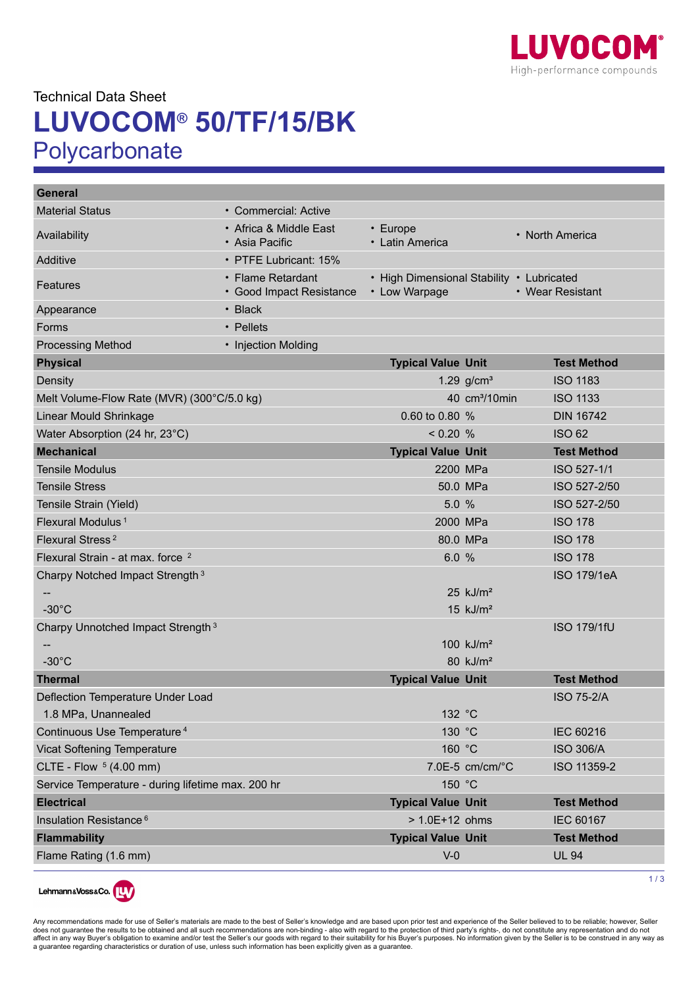

# Technical Data Sheet **LUVOCOM® 50/TF/15/BK** Polycarbonate

| <b>General</b>                                    |                                               |                                                            |                           |                    |
|---------------------------------------------------|-----------------------------------------------|------------------------------------------------------------|---------------------------|--------------------|
| <b>Material Status</b>                            | • Commercial: Active                          |                                                            |                           |                    |
| Availability                                      | • Africa & Middle East<br>• Asia Pacific      | • Europe<br>• Latin America                                |                           | • North America    |
| Additive                                          | • PTFE Lubricant: 15%                         |                                                            |                           |                    |
| Features                                          | • Flame Retardant<br>• Good Impact Resistance | • High Dimensional Stability • Lubricated<br>• Low Warpage |                           | • Wear Resistant   |
| Appearance                                        | • Black                                       |                                                            |                           |                    |
| Forms                                             | • Pellets                                     |                                                            |                           |                    |
| <b>Processing Method</b>                          | • Injection Molding                           |                                                            |                           |                    |
| <b>Physical</b>                                   |                                               | <b>Typical Value Unit</b>                                  |                           | <b>Test Method</b> |
| Density                                           |                                               |                                                            | 1.29 $g/cm3$              | <b>ISO 1183</b>    |
| Melt Volume-Flow Rate (MVR) (300°C/5.0 kg)        |                                               |                                                            | 40 cm <sup>3</sup> /10min | <b>ISO 1133</b>    |
| Linear Mould Shrinkage                            |                                               | 0.60 to 0.80 %                                             |                           | <b>DIN 16742</b>   |
| Water Absorption (24 hr, 23°C)                    |                                               | $< 0.20$ %                                                 |                           | <b>ISO 62</b>      |
| <b>Mechanical</b>                                 |                                               | <b>Typical Value Unit</b>                                  |                           | <b>Test Method</b> |
| <b>Tensile Modulus</b>                            |                                               | 2200 MPa                                                   |                           | ISO 527-1/1        |
| <b>Tensile Stress</b>                             |                                               |                                                            | 50.0 MPa                  | ISO 527-2/50       |
| Tensile Strain (Yield)                            |                                               | 5.0 %                                                      |                           | ISO 527-2/50       |
| Flexural Modulus <sup>1</sup>                     |                                               | 2000 MPa                                                   |                           | <b>ISO 178</b>     |
| Flexural Stress <sup>2</sup>                      |                                               |                                                            | 80.0 MPa                  | <b>ISO 178</b>     |
| Flexural Strain - at max. force <sup>2</sup>      |                                               | 6.0 %                                                      |                           | <b>ISO 178</b>     |
| Charpy Notched Impact Strength <sup>3</sup>       |                                               |                                                            |                           | <b>ISO 179/1eA</b> |
|                                                   |                                               |                                                            | $25$ kJ/m <sup>2</sup>    |                    |
| $-30^{\circ}$ C                                   |                                               |                                                            | $15$ kJ/m <sup>2</sup>    |                    |
| Charpy Unnotched Impact Strength <sup>3</sup>     |                                               |                                                            |                           | <b>ISO 179/1fU</b> |
|                                                   |                                               |                                                            | $100$ kJ/m <sup>2</sup>   |                    |
| $-30^{\circ}$ C                                   |                                               |                                                            | 80 kJ/m <sup>2</sup>      |                    |
| <b>Thermal</b>                                    |                                               | <b>Typical Value Unit</b>                                  |                           | <b>Test Method</b> |
| Deflection Temperature Under Load                 |                                               |                                                            |                           | <b>ISO 75-2/A</b>  |
| 1.8 MPa, Unannealed                               |                                               | 132 °C                                                     |                           |                    |
| Continuous Use Temperature <sup>4</sup>           |                                               | 130 °C                                                     |                           | IEC 60216          |
| <b>Vicat Softening Temperature</b>                |                                               | 160 °C                                                     |                           | <b>ISO 306/A</b>   |
| CLTE - Flow <sup>5</sup> (4.00 mm)                |                                               |                                                            | 7.0E-5 cm/cm/°C           | ISO 11359-2        |
| Service Temperature - during lifetime max. 200 hr |                                               | 150 °C                                                     |                           |                    |
| <b>Electrical</b>                                 |                                               | <b>Typical Value Unit</b>                                  |                           | <b>Test Method</b> |
| Insulation Resistance <sup>6</sup>                |                                               | > 1.0E+12 ohms                                             |                           | <b>IEC 60167</b>   |
| <b>Flammability</b>                               |                                               | <b>Typical Value Unit</b>                                  |                           | <b>Test Method</b> |
| Flame Rating (1.6 mm)                             |                                               | $V-0$                                                      |                           | <b>UL 94</b>       |



Any recommendations made for use of Seller's materials are made to the best of Seller's knowledge and are based upon prior test and experience of the Seller believed to to be reliable; however, Seller<br>does not guarantee t a guarantee regarding characteristics or duration of use, unless such information has been explicitly given as a guarantee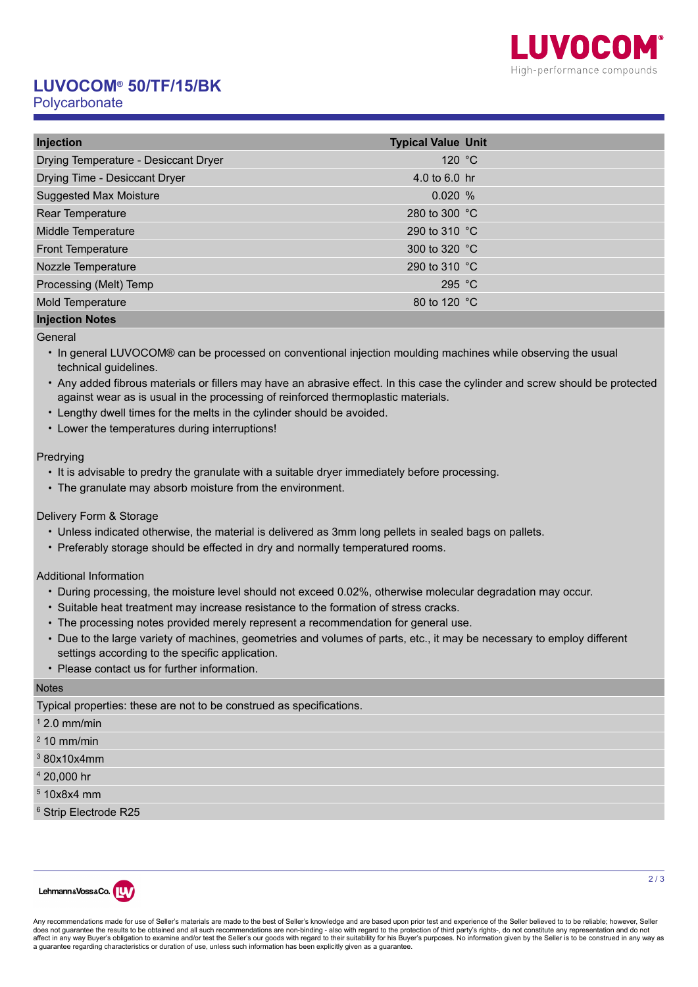

## **LUVOCOM® 50/TF/15/BK**

**Polycarbonate** 

| Injection                            | <b>Typical Value Unit</b> |  |
|--------------------------------------|---------------------------|--|
| Drying Temperature - Desiccant Dryer | 120 $\degree$ C           |  |
| Drying Time - Desiccant Dryer        | 4.0 to 6.0 hr             |  |
| <b>Suggested Max Moisture</b>        | 0.020%                    |  |
| Rear Temperature                     | 280 to 300 $^{\circ}$ C   |  |
| Middle Temperature                   | 290 to 310 °C             |  |
| <b>Front Temperature</b>             | 300 to 320 °C             |  |
| Nozzle Temperature                   | 290 to 310 °C             |  |
| Processing (Melt) Temp               | 295 °C                    |  |
| Mold Temperature                     | 80 to 120 °C              |  |
| <b>Injection Notes</b>               |                           |  |

General

- In general LUVOCOM® can be processed on conventional injection moulding machines while observing the usual technical guidelines.
- Any added fibrous materials or fillers may have an abrasive effect. In this case the cylinder and screw should be protected against wear as is usual in the processing of reinforced thermoplastic materials.
- Lengthy dwell times for the melts in the cylinder should be avoided.
- Lower the temperatures during interruptions!

#### Predrying

- It is advisable to predry the granulate with a suitable dryer immediately before processing.
- The granulate may absorb moisture from the environment.

#### Delivery Form & Storage

- Unless indicated otherwise, the material is delivered as 3mm long pellets in sealed bags on pallets.
- Preferably storage should be effected in dry and normally temperatured rooms.

Additional Information

- During processing, the moisture level should not exceed 0.02%, otherwise molecular degradation may occur.
- Suitable heat treatment may increase resistance to the formation of stress cracks.
- The processing notes provided merely represent a recommendation for general use.
- Due to the large variety of machines, geometries and volumes of parts, etc., it may be necessary to employ different settings according to the specific application.
- Please contact us for further information.

#### **Notes**

Typical properties: these are not to be construed as specifications.

- 1 2.0 mm/min
- 2 10 mm/min
- $380x10x4mm$
- 4 20,000 hr
- 5 10x8x4 mm
- 6 Strip Electrode R25



Any recommendations made for use of Seller's materials are made to the best of Seller's knowledge and are based upon prior test and experience of the Seller believed to to be reliable; however, Seller does not guarantee the results to be obtained and all such recommendations are non-binding - also with regard to the protection of third party's rights-, do not constitute any representation and do not<br>affect in any way Bu a guarantee regarding characteristics or duration of use, unless such information has been explicitly given as a guarante